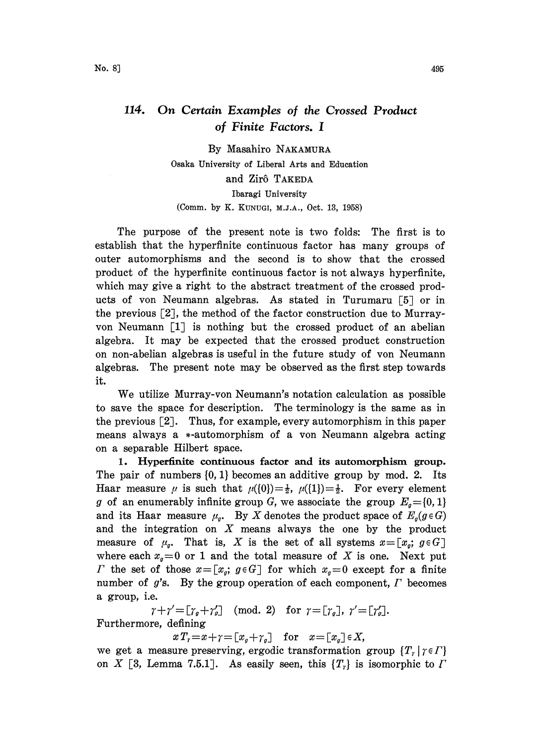## 114. On Certain Examples of the Crossed Product of Finite Factors. I

By Masahiro NAKAMURA Osaka University of Liberal Ars and Education and Zirô TAKEDA Ibaragi University (Comm. by K. KUNUGI, M.J.A., Oct. 13, 1958)

The purpose of the present note is two folds: The first is to establish that the hyperfinite continuous factor has many groups of outer automorphisms and the second is to show that the crossed product of the hyperfinite continuous factor is not always hyperfinite, which may give a right to the abstract treatment of the crossed products of von Neumann algebras. As stated in Turumaru [5] or in the previous [2J, the method of the factor construction due to Murrayvon Neumann  $\begin{bmatrix} 1 \end{bmatrix}$  is nothing but the crossed product of an abelian algebra. It may be expected that the crossed product construction on non-abelian algebras is useful in the future study of von Neumann algebras. The present note may be observed as the first step towards it.

We utilize Murray-yon Neumann's notation calculation as possible to save the space for description. The terminology is the same as in the previous  $\lceil 2 \rceil$ . Thus, for example, every automorphism in this paper means always a  $*$ -automorphism of a von Neumann algebra acting on a separable Hilbert space.

1. Hyperfinite continuous factor and its automorphism group. The pair of numbers  $\{0, 1\}$  becomes an additive group by mod. 2. Its Haar measure  $\mu$  is such that  $\mu({0})=\frac{1}{2}$ ,  $\mu({1})=\frac{1}{2}$ . For every element g of an enumerably infinite group G, we associate the group  $E_q=[0,1]$ and its Haar measure  $\mu_g$ . By X denotes the product space of  $E_g(g \in G)$ and the integration on  $X$  means always the one by the product measure of  $\mu_{g}$ . That is, X is the set of all systems  $x = [x_{g}; g \in G]$ where each  $x_q=0$  or 1 and the total measure of X is one. Next put *F* the set of those  $x=[x_g; g \in G]$  for which  $x_g=0$  except for a finite number of  $g$ 's. By the group operation of each component,  $\Gamma$  becomes a group, i.e.

 $\gamma + \gamma' = [\gamma_g + \gamma'_g] \pmod{2}$  for  $\gamma = [\gamma_g]$ ,  $\gamma' = [\gamma'_g]$ . Furthermore, defining

 $xT_{r}=x+\gamma=[x_{q}+\gamma_{q}]$  for  $x=[x_{q}]\in X$ ,

we get a measure preserving, ergodic transformation group  $\{T_r | r \in \Gamma\}$ on X [3, Lemma 7.5.1]. As easily seen, this  $\{T_i\}$  is isomorphic to  $\Gamma$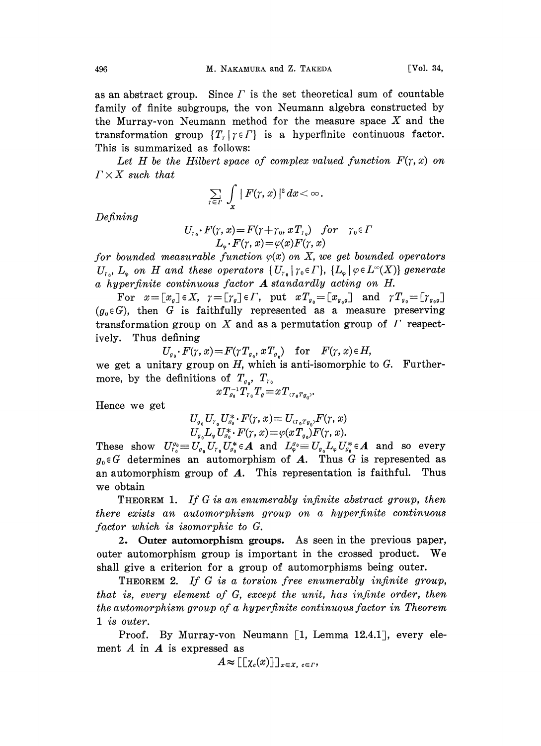as an abstract group. Since  $\Gamma$  is the set theoretical sum of countable family of finite subgroups, the von Neumann algebra constructed by the Murray-von Neumann method for the measure space X and the transformation group  $\{T_i | \gamma \in \Gamma\}$  is a hyperfinite continuous factor. This is summarized as follows:

Let H be the Hilbert space of complex valued function  $F(\gamma, x)$  on  $\Gamma \times X$  such that

$$
\sum_{\tau\in\varGamma}\,\,\int\limits_{x}\,\,\vert\,F(\tau,\,x)\,\vert^{\scriptscriptstyle 2}\,dx\!<\!\infty\;\! .
$$

Defining

$$
U_{r_0} \cdot F(\gamma, x) = F(\gamma + \gamma_0, xT_{r_0}) \quad \text{for} \quad \gamma_0 \in \Gamma
$$
  

$$
L_{\varphi} \cdot F(\gamma, x) = \varphi(x)F(\gamma, x)
$$

for bounded measurable function  $\varphi(x)$  on X, we get bounded operators  $U_{\tau_o}$ ,  $L_{\varphi}$  on H and these operators  $\{U_{\tau_o} | \tau_o \in \Gamma\}$ ,  $\{L_{\varphi} | \varphi \in L^{\infty}(X)\}$  generate <sup>a</sup> hyperfinite continuous factor A standardly acting on H.

For  $x=[x_g]\in X$ ,  $\gamma=[\gamma_g]\in\Gamma$ , put  $xT_{g_0}=[x_{g_0g_0}]$  and  $\gamma T_{g_0}=[\gamma_{g_0g_0}]$  $(g_0 \in G)$ , then G is faithfully represented as a measure preserving transformation group on X and as a permutation group of  $\Gamma$  respectively. Thus defining

 $U_{g_0}\cdot F(\gamma, x)=F(\gamma T_{g_0}, x T_{g_0})$  for  $F(\gamma, x)\in H$ ,

we get a unitary group on  $H$ , which is anti-isomorphic to  $G$ . Furthermore, by the definitions of  $T_{g_0}$ ,  $T_{r_0}$ 

$$
x \, T_{g_0}^{-1} T_{r_0} T_g \! = \! x \, T_{\tau r_0} r_{g_0},
$$

Hence we get

$$
U_{g_0}U_{r_0}U_{g_0}^* \cdot F(\gamma, x) = U_{(r_0r_{g_0})}F(\gamma, x)
$$
  

$$
U_{g_0}L_xU_{g_0}^* \cdot F(\gamma, x) = \varphi(xT_{g_0})F(\gamma, x).
$$

 $U_{g_0}L_{\varphi}U_{g_0}^* \cdot F(\gamma, x) = \varphi(xT_{g_0})F(\gamma, x).$ <br>
These show  $U_{g_0}^{g_0} \equiv U_{g_0}U_{r_0}U_{g_0}^* \in \mathbf{A}$  and  $L_{\varphi}^{g_0} \equiv U_{g_0}L_{\varphi}U_{g_0}^* \in \mathbf{A}$  and so every  $g_0 \in G$  determines an automorphism of A. Thus G is represented as an automorphism group of  $A$ . This representation is faithful. Thus we obtain

THEOREM 1. If G is an enumerably infinite abstract group, then there exists an automorphism group on a hyperfinite continuous factor which is isomorphic to G.

2. Outer automorphism groups. As seen in the previous paper, outer automorphism group is important in the crossed product. We shall give a criterion for a group of automorphisms being outer.

THEOREM 2. If G is a torsion free enumerably infinite group, that is, every element of G, except the unit, has infinte order, then the automorphism group of a hyperfinite continuous factor in Theorem 1 is outer.

Proof. By Murray-von Neumann [1, Lemma 12.4.1], every element  $A$  in  $A$  is expressed as

$$
A \approx \big[\big[\chi_c(x)\big]\big]_{x \in X, \ c \in \Gamma},
$$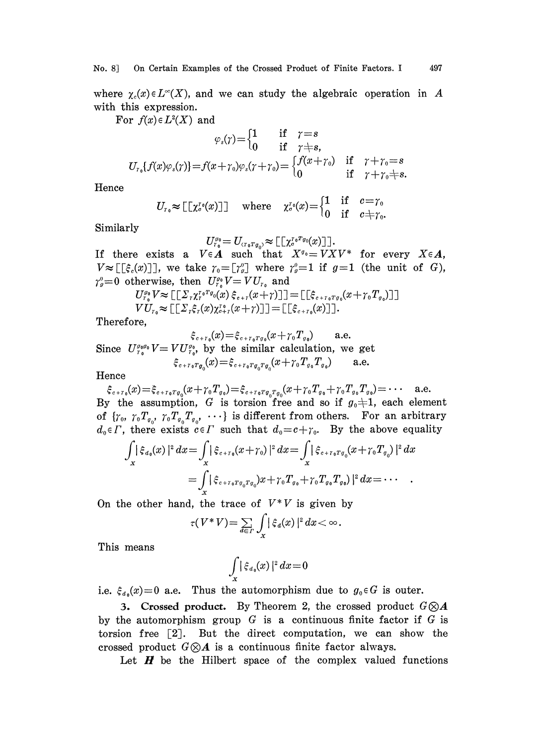where  $\chi_c(x) \in L^{\infty}(X)$ , and we can study the algebraic operation in A with this expression.

For  $f(x) \in L^2(X)$  and

$$
\varphi_s(\gamma) = \begin{cases} 1 & \text{if } \gamma = s \\ 0 & \text{if } \gamma = s \end{cases}
$$
\n
$$
U_{r_0}\{f(x)\varphi_s(\gamma)\} = f(x + \gamma_0)\varphi_s(\gamma + \gamma_0) = \begin{cases} f(x + \gamma_0) & \text{if } \gamma + \gamma_0 = s \\ 0 & \text{if } \gamma + \gamma_0 + s. \end{cases}
$$

Hence

$$
U_{r_0} \approx \begin{bmatrix} \begin{bmatrix} \chi^r_0(x) \end{bmatrix} \end{bmatrix} \quad \text{where} \quad \chi^r_0(x) = \begin{cases} 1 & \text{if} \quad c = \gamma_0 \\ 0 & \text{if} \quad c \neq \gamma_0. \end{cases}
$$

Similarly

$$
U_{r_0}^{g_0}=U_{\langle r_0r_{g_0}\rangle}\approx \llbracket \llbracket \chi_{c}^{r_0r_{g_0}}(x) \rrbracket \rrbracket.
$$

If there exists a  $V \in A$  such that  $X^{q_0}=V X V^*$  for every  $X \in A$ ,  $V \approx [[\xi_c(x)]]$ , we take  $\gamma_0 = [\gamma_g^0]$  where  $\gamma_g^0 = 1$  if  $g = 1$  (the unit of G),  $\gamma^o_o=0 \hspace{0.2cm} \text{otherwise}, \hspace{0.2cm} \text{then} \hspace{0.2cm} U^o_{r^o_o}V=VU_{r_o} \hspace{0.2cm} \text{and} \ U^{o_o}_{r^o_{o}}V\approx \llbracket [\varSigma_r \chi^{r_o}_r r_{o_o}(x) \, \hat{\xi}_{e+r}(x+r) ] \, \rrbracket = \llbracket [\hat{\xi}_{e+r_o r_{o_o}}(x+r_o T_{o_o}) ]$ 

$$
U_{r_0}^{\varrho_0} V \approx \llbracket \left[ \varSigma_r \chi_r^{r_0 r} \varphi_0(x) \xi_{e+r}(x+\gamma) \right] \rrbracket = \llbracket \xi_{e+r_0 r} \varphi_0(x+\gamma_0 T_{g_0}) \rrbracket \rrbracket
$$
  

$$
V U_{r_0} \approx \llbracket \left[ \varSigma_r \xi_r(x) \chi_{e+r}^{r_0}(x+\gamma) \right] \rrbracket = \llbracket \left[ \xi_{e+r_0}(x) \right] \rrbracket.
$$

Therefore,

$$
\xi_{c+r_0}(x) = \xi_{c+r_0r_0}(x+r_0T_{g_0})
$$
 a.e.

Since  $U_{\tau_0}^{g_0g_0}V= VU_{\tau_0}^{g_0}$ , by the similar calculation, we get  $\xi_{c+r_0Tg_0}(x)=\xi_{c+r_0Tg_0Tg_0}(x+\gamma_0T_{g_0}T_{g_0})$  a.e.

Hence

 $\xi_{c+r_0}(x)=\xi_{c+r_0T_{g_0}}(x+\gamma_0T_{g_0})=\xi_{c+r_0T_{g_0}T_{g_0}}(x+\gamma_0T_{g_0}+\gamma_0T_{g_0}T_{g_0})=\cdots$  a.e. By the assumption, G is torsion free and so if  $g_0 \neq 1$ , each element of  $\{ \gamma_0, \gamma_0 T_{q_0}, \gamma_0 T_{q_0}, \cdots \}$  is different from others. For an arbitrary  $d_0 \in \Gamma$ , there exists  $c \in \Gamma$  such that  $d_0 = c + \gamma_0$ . By the above equality

$$
\int_{X} |\xi_{a_{0}}(x)|^{2} dx = \int_{X} |\xi_{c+r_{0}}(x+\gamma_{0})|^{2} dx = \int_{X} |\xi_{c+r_{0}T g_{0}}(x+\gamma_{0}T_{g_{0}})|^{2} dx
$$
  
= 
$$
\int_{X} |\xi_{c+r_{0}T g_{0}T g_{0}}(x+\gamma_{0}T_{g_{0}}) + \gamma_{0}T_{g_{0}}T_{g_{0}})|^{2} dx = \cdots
$$

On the other hand, the trace of  $V^*V$  is given by

$$
\tau(V^*V)=\sum_{d\in\varGamma}\int_X|\xi_d(x)|^2\,dx<\infty.
$$

This means

$$
\int\limits_{x} |\xi_{a_0}(x)|^2\,dx\!=\!0
$$

i.e.  $\xi_{d_0}(x)=0$  a.e. Thus the automorphism due to  $g_0 \in G$  is outer.

3. Crossed product. By Theorem 2, the crossed product  $G \otimes A$ by the automorphism group  $G$  is a continuous finite factor if  $G$  is torsion free [2]. But the direct computation, we can show the crossed product  $G \otimes A$  is a continuous finite factor always.

Let  $H$  be the Hilbert space of the complex valued functions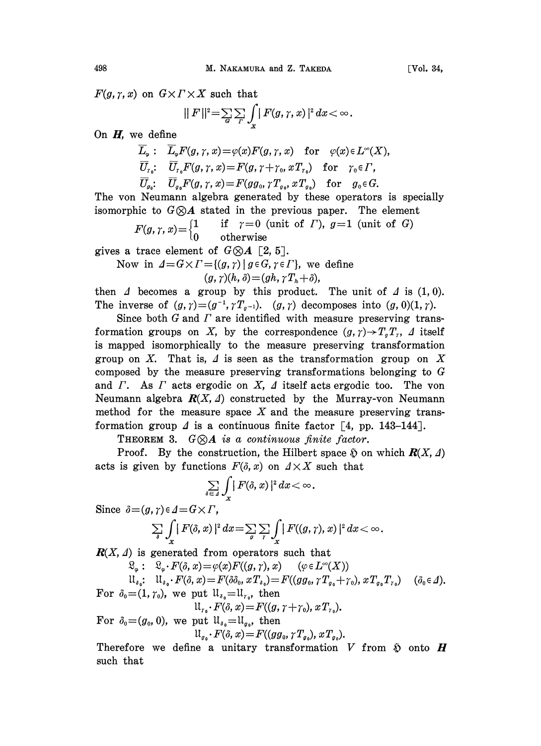$F(g, \gamma, x)$  on  $G \times \Gamma \times X$  such that

$$
||F||^2 = \sum_{G} \sum_{\Gamma} \int_{x} |F(g,\gamma,x)|^2 dx < \infty.
$$

On  $H$ , we define

$$
\overline{L}_{\varphi} : \overline{L}_{\varphi} F(g, \gamma, x) = \varphi(x) F(g, \gamma, x) \quad \text{for} \quad \varphi(x) \in L^{\infty}(X),
$$
\n
$$
\overline{U}_{r_0} : \overline{U}_{r_0} F(g, \gamma, x) = F(g, \gamma + \gamma_0, x T_{r_0}) \quad \text{for} \quad \gamma_0 \in \Gamma,
$$
\n
$$
\overline{U}_{g_0} : \overline{U}_{g_0} F(g, \gamma, x) = F(g g_0, \gamma T_{g_0}, x T_{g_0}) \quad \text{for} \quad g_0 \in G.
$$

The von Neumann algebra generated by these operators is specially isomorphic to  $G \otimes A$  stated in the previous paper. The element

 $F(g,\gamma,x){=} \begin{cases} 1 & \quad \text{if} \quad \gamma{=}0 \ \text{ (unit of } \varGamma), \ g{=}1 \ \text{ (unit of } \,G) \ 0 & \quad \text{otherwise} \end{cases}$ 

gives a trace element of  $G \otimes A$  [2, 5].

Now in  $\Delta = G \times \Gamma = \{(g, \gamma) \mid g \in G, \gamma \in \Gamma\}$ , we define

$$
(g,\gamma)(h,\delta)=(gh,\gamma T_h+\delta),
$$

then  $\Delta$  becomes a group by this product. The unit of  $\Delta$  is (1,0). The inverse of  $(g, \gamma)=(g^{-1}, \gamma T_{g^{-1}})$ .  $(g, \gamma)$  decomposes into  $(g, 0)(1, \gamma)$ .

Since both  $G$  and  $\Gamma$  are identified with measure preserving transformation groups on X, by the correspondence  $(g, \gamma) \rightarrow T_qT_r$ , I itself is mapped isomorphically to the measure preserving transformation group on X. That is,  $\Delta$  is seen as the transformation group on X composed by the measure preserving transformations belonging to G and  $\Gamma$ . As  $\Gamma$  acts ergodic on  $X$ ,  $\Delta$  itself acts ergodic too. The von Neumann algebra  $R(X, \Delta)$  constructed by the Murray-von Neumann method for the measure space  $X$  and the measure preserving transformation group  $\Delta$  is a continuous finite factor [4, pp. 143-144].

THEOREM 3.  $G \otimes A$  is a continuous finite factor.

Proof. By the construction, the Hilbert space  $\tilde{p}$  on which  $\mathbf{R}(X, \Delta)$ acts is given by functions  $F(\delta, x)$  on  $A \times X$  such that

$$
\sum_{\delta\in\varDelta}\int_{\bf v}|F(\delta,x)|^2\,dx\!<\!\infty\;\! .
$$

Since  $\delta = (g, \gamma) \in \Delta = G \times \Gamma$ ,

$$
\sum_{\delta}\int_{X}\big|F(\delta,x)\big|^{2} dx = \sum_{g}\sum_{\gamma}\int_{X}\big|F((g,\gamma),x)\big|^{2} dx < \infty.
$$

 $\mathbf{R}(X, \Delta)$  is generated from operators such that

 $\mathfrak{L}_{\varphi} \cdot F(\delta, x) = \varphi(x)F((g, r), x) \qquad (\varphi \in L^{\infty}(X))$ 

$$
\mathcal{U}_{\delta_0}: \mathcal{U}_{\delta_0} \cdot F(\delta, x) = F(\delta \delta_0, xT_{\delta_0}) = F((gg_0, \gamma T_{g_0} + \gamma_0), xT_{g_0}T_{\gamma_0}) \quad (\delta_0 \in \Delta).
$$

For  $\delta_0=(1, \gamma_0)$ , we put  $\mathfrak{U}_{\delta_0}=\mathfrak{U}_{\gamma_0}$ , then

$$
u_{\tau_0}\cdot F(\delta,x)=F((g,\gamma+\gamma_0),xT_{\tau_0}).
$$

For 
$$
\delta_0 = (g_0, 0)
$$
, we put  $\mathfrak{U}_{s_0} = \mathfrak{U}_{g_0}$ , then  $\mathfrak{U}_{g_0} \cdot F(\delta, x) = F((gg_0, \gamma T_{g_0}), x T_{g_0})$ .

Therefore we define a unitary transformation  $V$  from  $\tilde{y}$  onto  $H$ such that